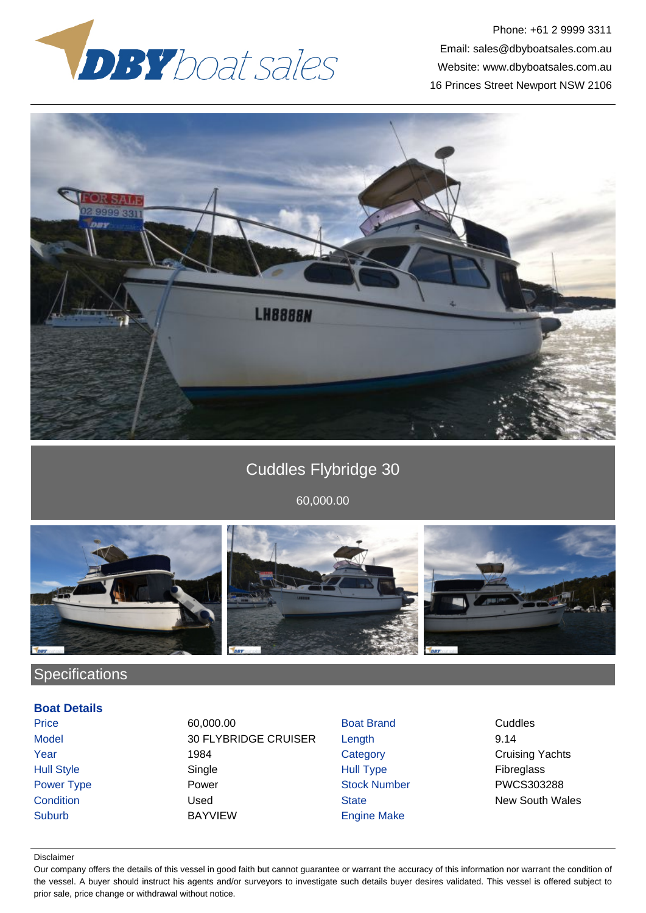

Phone: +61 2 9999 3311 Email: sales@dbyboatsales.com.au Website: www.dbyboatsales.com.au 16 Princes Street Newport NSW 2106



# Cuddles Flybridge 30

60,000.00



## **Specifications**

## **Boat Details**

Price **60,000.00 Boat Brand Cuddles** Cuddles Model 30 FLYBRIDGE CRUISER Length 9.14 **The 1984** Category Category Cruising Yachts Hull Style Single Hull Type Fibreglass Power Type **Power Power Stock Number PWCS303288 Condition** Condition **Condition** Used State State New South Wales Suburb BAYVIEW Engine Make

### Disclaimer

Our company offers the details of this vessel in good faith but cannot guarantee or warrant the accuracy of this information nor warrant the condition of the vessel. A buyer should instruct his agents and/or surveyors to investigate such details buyer desires validated. This vessel is offered subject to prior sale, price change or withdrawal without notice.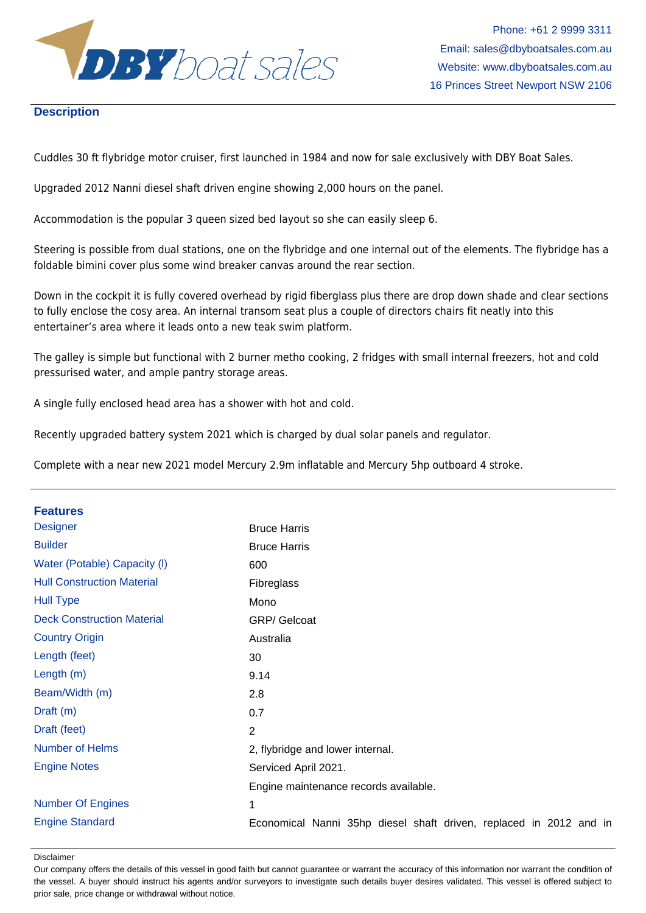

## **Description**

Cuddles 30 ft flybridge motor cruiser, first launched in 1984 and now for sale exclusively with DBY Boat Sales.

Upgraded 2012 Nanni diesel shaft driven engine showing 2,000 hours on the panel.

Accommodation is the popular 3 queen sized bed layout so she can easily sleep 6.

Steering is possible from dual stations, one on the flybridge and one internal out of the elements. The flybridge has a foldable bimini cover plus some wind breaker canvas around the rear section.

Down in the cockpit it is fully covered overhead by rigid fiberglass plus there are drop down shade and clear sections to fully enclose the cosy area. An internal transom seat plus a couple of directors chairs fit neatly into this entertainer's area where it leads onto a new teak swim platform.

The galley is simple but functional with 2 burner metho cooking, 2 fridges with small internal freezers, hot and cold pressurised water, and ample pantry storage areas.

A single fully enclosed head area has a shower with hot and cold.

Recently upgraded battery system 2021 which is charged by dual solar panels and regulator.

Complete with a near new 2021 model Mercury 2.9m inflatable and Mercury 5hp outboard 4 stroke.

| <b>Features</b>                   |                                                                    |
|-----------------------------------|--------------------------------------------------------------------|
| <b>Designer</b>                   | <b>Bruce Harris</b>                                                |
| <b>Builder</b>                    | <b>Bruce Harris</b>                                                |
| Water (Potable) Capacity (I)      | 600                                                                |
| <b>Hull Construction Material</b> | Fibreglass                                                         |
| <b>Hull Type</b>                  | Mono                                                               |
| <b>Deck Construction Material</b> | <b>GRP/ Gelcoat</b>                                                |
| <b>Country Origin</b>             | Australia                                                          |
| Length (feet)                     | 30                                                                 |
| Length $(m)$                      | 9.14                                                               |
| Beam/Width (m)                    | 2.8                                                                |
| Draft (m)                         | 0.7                                                                |
| Draft (feet)                      | $\overline{2}$                                                     |
| <b>Number of Helms</b>            | 2, flybridge and lower internal.                                   |
| <b>Engine Notes</b>               | Serviced April 2021.                                               |
|                                   | Engine maintenance records available.                              |
| <b>Number Of Engines</b>          | 1                                                                  |
| <b>Engine Standard</b>            | Economical Nanni 35hp diesel shaft driven, replaced in 2012 and in |

#### Disclaimer

Our company offers the details of this vessel in good faith but cannot guarantee or warrant the accuracy of this information nor warrant the condition of the vessel. A buyer should instruct his agents and/or surveyors to investigate such details buyer desires validated. This vessel is offered subject to prior sale, price change or withdrawal without notice.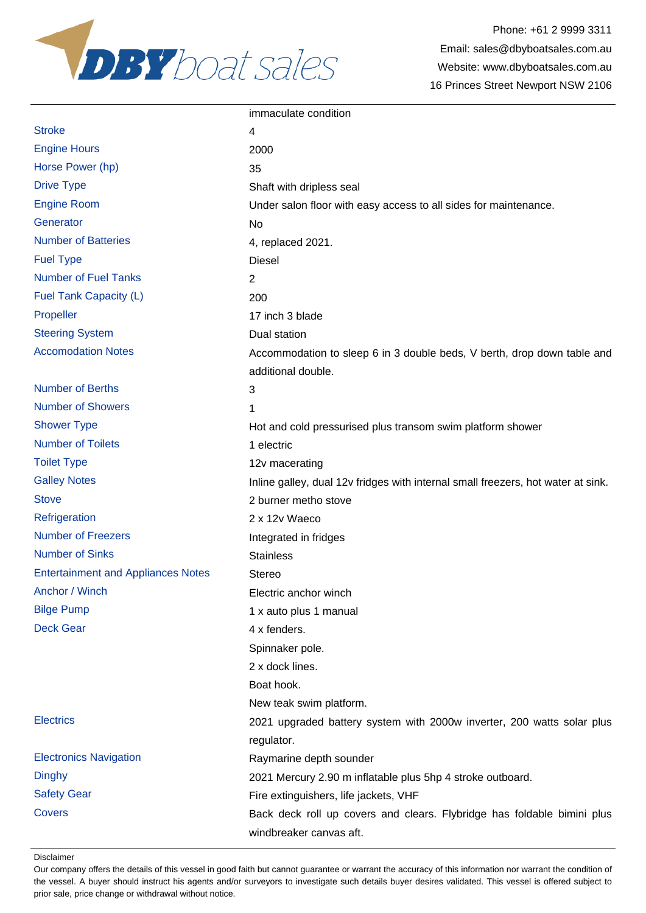

Phone: +61 2 9999 3311 Email: sales@dbyboatsales.com.au Website: www.dbyboatsales.com.au 16 Princes Street Newport NSW 2106

|                                           | immaculate condition                                                                               |
|-------------------------------------------|----------------------------------------------------------------------------------------------------|
| <b>Stroke</b>                             | 4                                                                                                  |
| <b>Engine Hours</b>                       | 2000                                                                                               |
| Horse Power (hp)                          | 35                                                                                                 |
| <b>Drive Type</b>                         | Shaft with dripless seal                                                                           |
| <b>Engine Room</b>                        | Under salon floor with easy access to all sides for maintenance.                                   |
| Generator                                 | No                                                                                                 |
| <b>Number of Batteries</b>                | 4, replaced 2021.                                                                                  |
| <b>Fuel Type</b>                          | Diesel                                                                                             |
| <b>Number of Fuel Tanks</b>               | $\overline{2}$                                                                                     |
| Fuel Tank Capacity (L)                    | 200                                                                                                |
| Propeller                                 | 17 inch 3 blade                                                                                    |
| <b>Steering System</b>                    | Dual station                                                                                       |
| <b>Accomodation Notes</b>                 | Accommodation to sleep 6 in 3 double beds, V berth, drop down table and<br>additional double.      |
| <b>Number of Berths</b>                   | 3                                                                                                  |
| <b>Number of Showers</b>                  | 1                                                                                                  |
| <b>Shower Type</b>                        | Hot and cold pressurised plus transom swim platform shower                                         |
| <b>Number of Toilets</b>                  | 1 electric                                                                                         |
| <b>Toilet Type</b>                        | 12v macerating                                                                                     |
| <b>Galley Notes</b>                       | Inline galley, dual 12v fridges with internal small freezers, hot water at sink.                   |
| <b>Stove</b>                              | 2 burner metho stove                                                                               |
| Refrigeration                             | 2 x 12v Waeco                                                                                      |
| <b>Number of Freezers</b>                 | Integrated in fridges                                                                              |
| <b>Number of Sinks</b>                    | <b>Stainless</b>                                                                                   |
| <b>Entertainment and Appliances Notes</b> | <b>Stereo</b>                                                                                      |
| Anchor / Winch                            | Electric anchor winch                                                                              |
| <b>Bilge Pump</b>                         | 1 x auto plus 1 manual                                                                             |
| <b>Deck Gear</b>                          | 4 x fenders.                                                                                       |
|                                           | Spinnaker pole.                                                                                    |
|                                           | 2 x dock lines.                                                                                    |
|                                           | Boat hook.                                                                                         |
|                                           | New teak swim platform.                                                                            |
| <b>Electrics</b>                          | 2021 upgraded battery system with 2000w inverter, 200 watts solar plus                             |
|                                           | regulator.                                                                                         |
| <b>Electronics Navigation</b>             | Raymarine depth sounder                                                                            |
| <b>Dinghy</b>                             | 2021 Mercury 2.90 m inflatable plus 5hp 4 stroke outboard.                                         |
| <b>Safety Gear</b>                        | Fire extinguishers, life jackets, VHF                                                              |
| Covers                                    | Back deck roll up covers and clears. Flybridge has foldable bimini plus<br>windbreaker canvas aft. |

Disclaimer

Our company offers the details of this vessel in good faith but cannot guarantee or warrant the accuracy of this information nor warrant the condition of the vessel. A buyer should instruct his agents and/or surveyors to investigate such details buyer desires validated. This vessel is offered subject to prior sale, price change or withdrawal without notice.